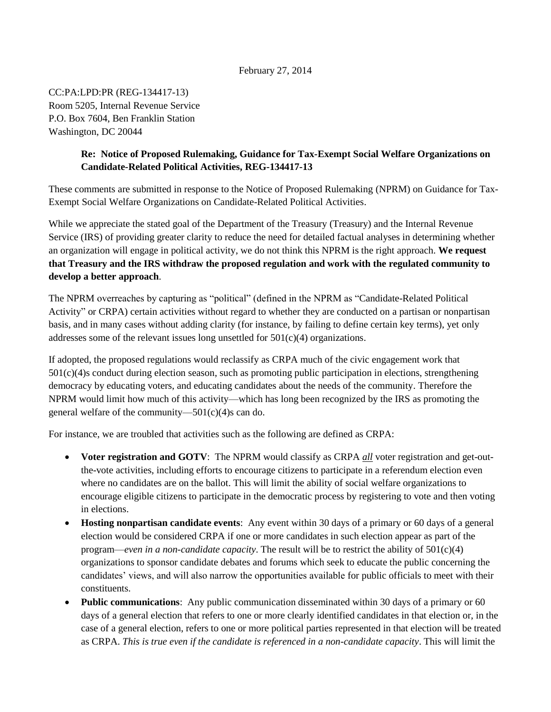# February 27, 2014

CC:PA:LPD:PR (REG-134417-13) Room 5205, Internal Revenue Service P.O. Box 7604, Ben Franklin Station Washington, DC 20044

# **Re: Notice of Proposed Rulemaking, Guidance for Tax-Exempt Social Welfare Organizations on Candidate-Related Political Activities, REG-134417-13**

These comments are submitted in response to the Notice of Proposed Rulemaking (NPRM) on Guidance for Tax-Exempt Social Welfare Organizations on Candidate-Related Political Activities.

While we appreciate the stated goal of the Department of the Treasury (Treasury) and the Internal Revenue Service (IRS) of providing greater clarity to reduce the need for detailed factual analyses in determining whether an organization will engage in political activity, we do not think this NPRM is the right approach. **We request that Treasury and the IRS withdraw the proposed regulation and work with the regulated community to develop a better approach**.

The NPRM overreaches by capturing as "political" (defined in the NPRM as "Candidate-Related Political Activity" or CRPA) certain activities without regard to whether they are conducted on a partisan or nonpartisan basis, and in many cases without adding clarity (for instance, by failing to define certain key terms), yet only addresses some of the relevant issues long unsettled for  $501(c)(4)$  organizations.

If adopted, the proposed regulations would reclassify as CRPA much of the civic engagement work that 501(c)(4)s conduct during election season, such as promoting public participation in elections, strengthening democracy by educating voters, and educating candidates about the needs of the community. Therefore the NPRM would limit how much of this activity—which has long been recognized by the IRS as promoting the general welfare of the community— $501(c)(4)$ s can do.

For instance, we are troubled that activities such as the following are defined as CRPA:

- **Voter registration and GOTV**: The NPRM would classify as CRPA *all* voter registration and get-outthe-vote activities, including efforts to encourage citizens to participate in a referendum election even where no candidates are on the ballot. This will limit the ability of social welfare organizations to encourage eligible citizens to participate in the democratic process by registering to vote and then voting in elections.
- **Hosting nonpartisan candidate events**: Any event within 30 days of a primary or 60 days of a general election would be considered CRPA if one or more candidates in such election appear as part of the program—*even in a non-candidate capacity*. The result will be to restrict the ability of 501(c)(4) organizations to sponsor candidate debates and forums which seek to educate the public concerning the candidates' views, and will also narrow the opportunities available for public officials to meet with their constituents.
- **Public communications**: Any public communication disseminated within 30 days of a primary or 60 days of a general election that refers to one or more clearly identified candidates in that election or, in the case of a general election, refers to one or more political parties represented in that election will be treated as CRPA. *This is true even if the candidate is referenced in a non-candidate capacity*. This will limit the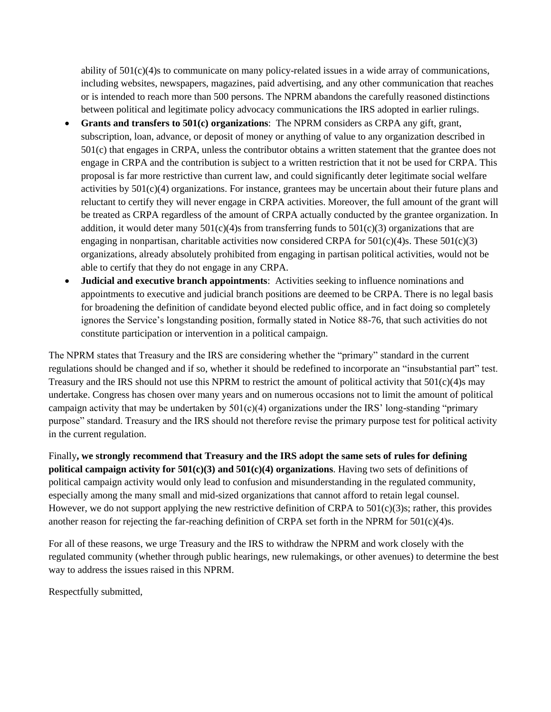ability of 501(c)(4)s to communicate on many policy-related issues in a wide array of communications, including websites, newspapers, magazines, paid advertising, and any other communication that reaches or is intended to reach more than 500 persons. The NPRM abandons the carefully reasoned distinctions between political and legitimate policy advocacy communications the IRS adopted in earlier rulings.

- **Grants and transfers to 501(c) organizations**: The NPRM considers as CRPA any gift, grant, subscription, loan, advance, or deposit of money or anything of value to any organization described in 501(c) that engages in CRPA, unless the contributor obtains a written statement that the grantee does not engage in CRPA and the contribution is subject to a written restriction that it not be used for CRPA. This proposal is far more restrictive than current law, and could significantly deter legitimate social welfare activities by  $501(c)(4)$  organizations. For instance, grantees may be uncertain about their future plans and reluctant to certify they will never engage in CRPA activities. Moreover, the full amount of the grant will be treated as CRPA regardless of the amount of CRPA actually conducted by the grantee organization. In addition, it would deter many  $501(c)(4)$ s from transferring funds to  $501(c)(3)$  organizations that are engaging in nonpartisan, charitable activities now considered CRPA for  $501(c)(4)$ s. These  $501(c)(3)$ organizations, already absolutely prohibited from engaging in partisan political activities, would not be able to certify that they do not engage in any CRPA.
- **Judicial and executive branch appointments**: Activities seeking to influence nominations and appointments to executive and judicial branch positions are deemed to be CRPA. There is no legal basis for broadening the definition of candidate beyond elected public office, and in fact doing so completely ignores the Service's longstanding position, formally stated in Notice 88-76, that such activities do not constitute participation or intervention in a political campaign.

The NPRM states that Treasury and the IRS are considering whether the "primary" standard in the current regulations should be changed and if so, whether it should be redefined to incorporate an "insubstantial part" test. Treasury and the IRS should not use this NPRM to restrict the amount of political activity that 501(c)(4)s may undertake. Congress has chosen over many years and on numerous occasions not to limit the amount of political campaign activity that may be undertaken by  $501(c)(4)$  organizations under the IRS' long-standing "primary" purpose" standard. Treasury and the IRS should not therefore revise the primary purpose test for political activity in the current regulation.

Finally**, we strongly recommend that Treasury and the IRS adopt the same sets of rules for defining political campaign activity for 501(c)(3) and 501(c)(4) organizations**. Having two sets of definitions of political campaign activity would only lead to confusion and misunderstanding in the regulated community, especially among the many small and mid-sized organizations that cannot afford to retain legal counsel. However, we do not support applying the new restrictive definition of CRPA to  $501(c)(3)$ s; rather, this provides another reason for rejecting the far-reaching definition of CRPA set forth in the NPRM for  $501(c)(4)s$ .

For all of these reasons, we urge Treasury and the IRS to withdraw the NPRM and work closely with the regulated community (whether through public hearings, new rulemakings, or other avenues) to determine the best way to address the issues raised in this NPRM.

Respectfully submitted,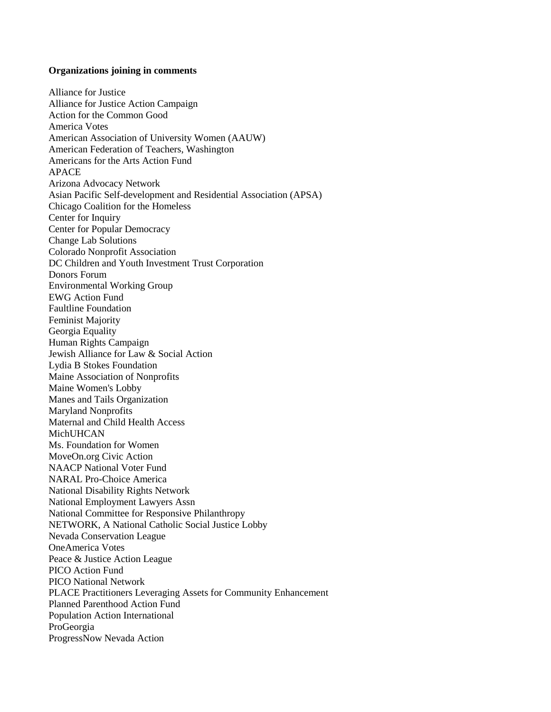#### **Organizations joining in comments**

Alliance for Justice Alliance for Justice Action Campaign Action for the Common Good America Votes American Association of University Women (AAUW) American Federation of Teachers, Washington Americans for the Arts Action Fund APACE Arizona Advocacy Network Asian Pacific Self-development and Residential Association (APSA) Chicago Coalition for the Homeless Center for Inquiry Center for Popular Democracy Change Lab Solutions Colorado Nonprofit Association DC Children and Youth Investment Trust Corporation Donors Forum Environmental Working Group EWG Action Fund Faultline Foundation Feminist Majority Georgia Equality Human Rights Campaign Jewish Alliance for Law & Social Action Lydia B Stokes Foundation Maine Association of Nonprofits Maine Women's Lobby Manes and Tails Organization Maryland Nonprofits Maternal and Child Health Access MichUHCAN Ms. Foundation for Women MoveOn.org Civic Action NAACP National Voter Fund NARAL Pro-Choice America National Disability Rights Network National Employment Lawyers Assn National Committee for Responsive Philanthropy NETWORK, A National Catholic Social Justice Lobby Nevada Conservation League OneAmerica Votes Peace & Justice Action League PICO Action Fund PICO National Network PLACE Practitioners Leveraging Assets for Community Enhancement Planned Parenthood Action Fund Population Action International ProGeorgia ProgressNow Nevada Action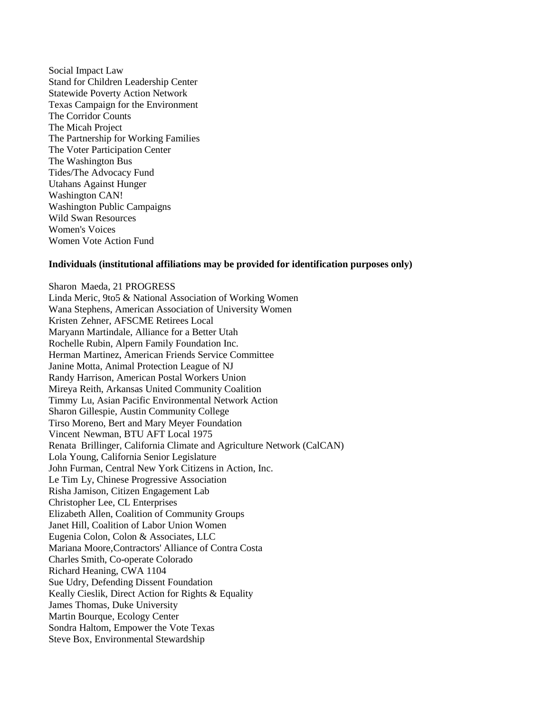Social Impact Law Stand for Children Leadership Center Statewide Poverty Action Network Texas Campaign for the Environment The Corridor Counts The Micah Project The Partnership for Working Families The Voter Participation Center The Washington Bus Tides/The Advocacy Fund Utahans Against Hunger Washington CAN! Washington Public Campaigns Wild Swan Resources Women's Voices Women Vote Action Fund

## **Individuals (institutional affiliations may be provided for identification purposes only)**

Sharon Maeda, 21 PROGRESS Linda Meric, 9to5 & National Association of Working Women Wana Stephens, American Association of University Women Kristen Zehner, AFSCME Retirees Local Maryann Martindale, Alliance for a Better Utah Rochelle Rubin, Alpern Family Foundation Inc. Herman Martinez, American Friends Service Committee Janine Motta, Animal Protection League of NJ Randy Harrison, American Postal Workers Union Mireya Reith, Arkansas United Community Coalition Timmy Lu, Asian Pacific Environmental Network Action Sharon Gillespie, Austin Community College Tirso Moreno, Bert and Mary Meyer Foundation Vincent Newman, BTU AFT Local 1975 Renata Brillinger, California Climate and Agriculture Network (CalCAN) Lola Young, California Senior Legislature John Furman, Central New York Citizens in Action, Inc. Le Tim Ly, Chinese Progressive Association Risha Jamison, Citizen Engagement Lab Christopher Lee, CL Enterprises Elizabeth Allen, Coalition of Community Groups Janet Hill, Coalition of Labor Union Women Eugenia Colon, Colon & Associates, LLC Mariana Moore,Contractors' Alliance of Contra Costa Charles Smith, Co-operate Colorado Richard Heaning, CWA 1104 Sue Udry, Defending Dissent Foundation Keally Cieslik, Direct Action for Rights & Equality James Thomas, Duke University Martin Bourque, Ecology Center Sondra Haltom, Empower the Vote Texas Steve Box, Environmental Stewardship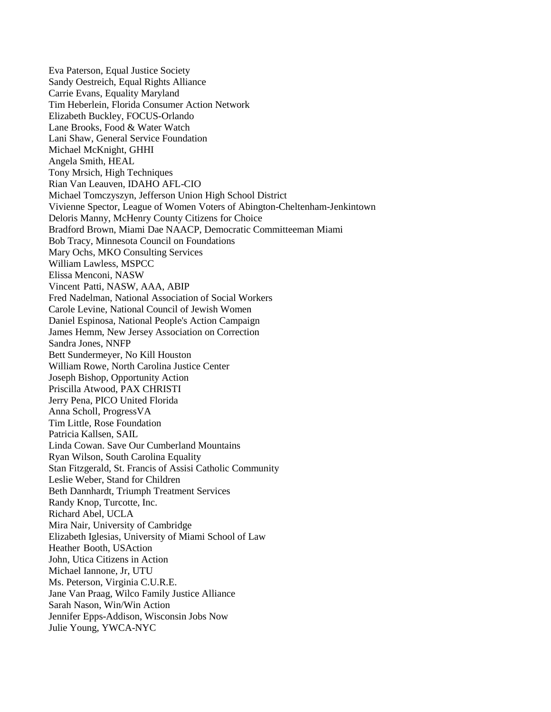Eva Paterson, Equal Justice Society Sandy Oestreich, Equal Rights Alliance Carrie Evans, Equality Maryland Tim Heberlein, Florida Consumer Action Network Elizabeth Buckley, FOCUS-Orlando Lane Brooks, Food & Water Watch Lani Shaw, General Service Foundation Michael McKnight, GHHI Angela Smith, HEAL Tony Mrsich, High Techniques Rian Van Leauven, IDAHO AFL-CIO Michael Tomczyszyn, Jefferson Union High School District Vivienne Spector, League of Women Voters of Abington-Cheltenham-Jenkintown Deloris Manny, McHenry County Citizens for Choice Bradford Brown, Miami Dae NAACP, Democratic Committeeman Miami Bob Tracy, Minnesota Council on Foundations Mary Ochs, MKO Consulting Services William Lawless, MSPCC Elissa Menconi, NASW Vincent Patti, NASW, AAA, ABIP Fred Nadelman, National Association of Social Workers Carole Levine, National Council of Jewish Women Daniel Espinosa, National People's Action Campaign James Hemm, New Jersey Association on Correction Sandra Jones, NNFP Bett Sundermeyer, No Kill Houston William Rowe, North Carolina Justice Center Joseph Bishop, Opportunity Action Priscilla Atwood, PAX CHRISTI Jerry Pena, PICO United Florida Anna Scholl, ProgressVA Tim Little, Rose Foundation Patricia Kallsen, SAIL Linda Cowan. Save Our Cumberland Mountains Ryan Wilson, South Carolina Equality Stan Fitzgerald, St. Francis of Assisi Catholic Community Leslie Weber, Stand for Children Beth Dannhardt, Triumph Treatment Services Randy Knop, Turcotte, Inc. Richard Abel, UCLA Mira Nair, University of Cambridge Elizabeth Iglesias, University of Miami School of Law Heather Booth, USAction John, Utica Citizens in Action Michael Iannone, Jr, UTU Ms. Peterson, Virginia C.U.R.E. Jane Van Praag, Wilco Family Justice Alliance Sarah Nason, Win/Win Action Jennifer Epps-Addison, Wisconsin Jobs Now Julie Young, YWCA-NYC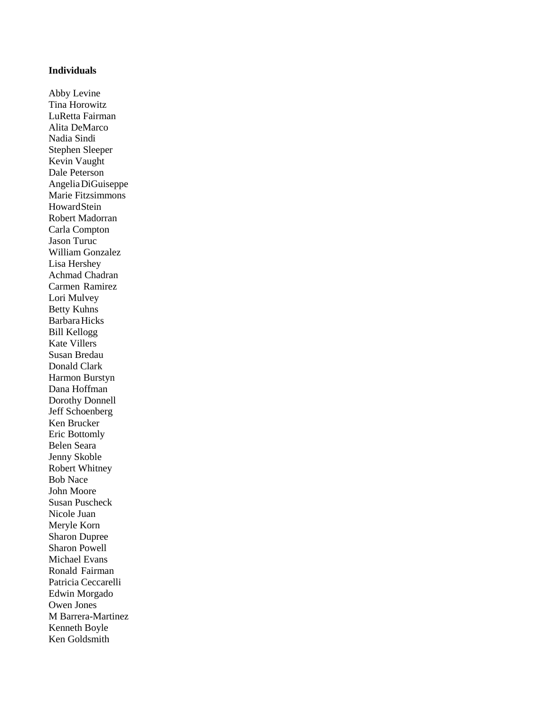## **Individuals**

Abby Levine Tina Horowitz LuRetta Fairman Alita DeMarco Nadia Sindi Stephen Sleeper Kevin Vaught Dale Peterson AngeliaDiGuiseppe Marie Fitzsimmons HowardStein Robert Madorran Carla Compton Jason Turuc William Gonzalez Lisa Hershey Achmad Chadran Carmen Ramirez Lori Mulvey Betty Kuhns BarbaraHicks Bill Kellogg Kate Villers Susan Bredau Donald Clark Harmon Burstyn Dana Hoffman Dorothy Donnell Jeff Schoenberg Ken Brucker Eric Bottomly Belen Seara Jenny Skoble Robert Whitney Bob Nace John Moore Susan Puscheck Nicole Juan Meryle Korn Sharon Dupree Sharon Powell Michael Evans Ronald Fairman Patricia Ceccarelli Edwin Morgado Owen Jones M Barrera-Martinez Kenneth Boyle Ken Goldsmith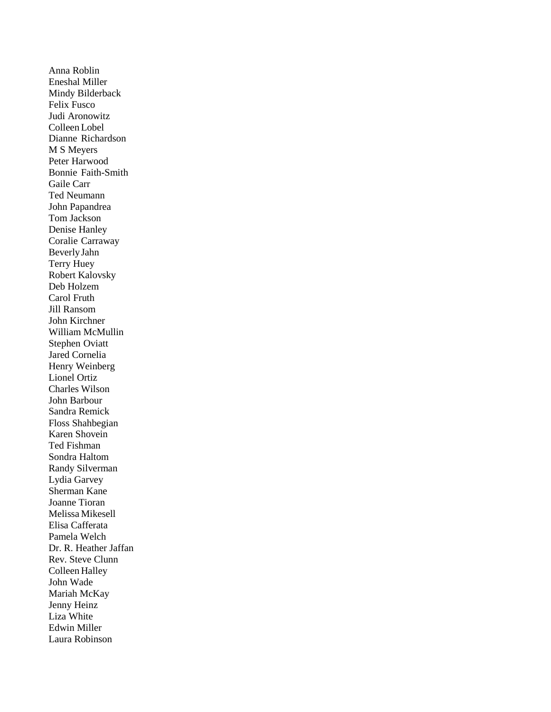Anna Roblin Eneshal Miller Mindy Bilderback Felix Fusco Judi Aronowitz Colleen Lobel Dianne Richardson M S Meyers Peter Harwood Bonnie Faith-Smith Gaile Carr Ted Neumann John Papandrea Tom Jackson Denise Hanley Coralie Carraway BeverlyJahn Terry Huey Robert Kalovsky Deb Holzem Carol Fruth Jill Ransom John Kirchner William McMullin Stephen Oviatt Jared Cornelia Henry Weinberg Lionel Ortiz Charles Wilson John Barbour Sandra Remick Floss Shahbegian Karen Shovein Ted Fishman Sondra Haltom Randy Silverman Lydia Garvey Sherman Kane Joanne Tioran Melissa Mikesell Elisa Cafferata Pamela Welch Dr. R. Heather Jaffan Rev. Steve Clunn Colleen Halley John Wade Mariah McKay Jenny Heinz Liza White Edwin Miller Laura Robinson